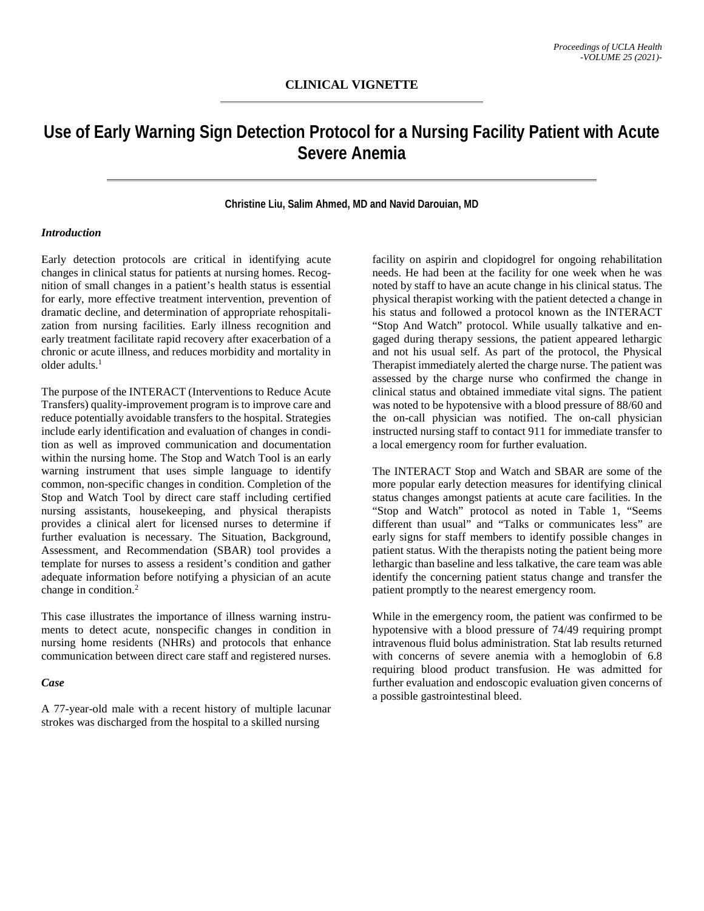# **Use of Early Warning Sign Detection Protocol for a Nursing Facility Patient with Acute Severe Anemia**

### **Christine Liu, Salim Ahmed, MD and Navid Darouian, MD**

#### *Introduction*

Early detection protocols are critical in identifying acute changes in clinical status for patients at nursing homes. Recognition of small changes in a patient's health status is essential for early, more effective treatment intervention, prevention of dramatic decline, and determination of appropriate rehospitalization from nursing facilities. Early illness recognition and early treatment facilitate rapid recovery after exacerbation of a chronic or acute illness, and reduces morbidity and mortality in older adults.1

The purpose of the INTERACT (Interventions to Reduce Acute Transfers) quality-improvement program is to improve care and reduce potentially avoidable transfers to the hospital. Strategies include early identification and evaluation of changes in condition as well as improved communication and documentation within the nursing home. The Stop and Watch Tool is an early warning instrument that uses simple language to identify common, non-specific changes in condition. Completion of the Stop and Watch Tool by direct care staff including certified nursing assistants, housekeeping, and physical therapists provides a clinical alert for licensed nurses to determine if further evaluation is necessary. The Situation, Background, Assessment, and Recommendation (SBAR) tool provides a template for nurses to assess a resident's condition and gather adequate information before notifying a physician of an acute change in condition.2

This case illustrates the importance of illness warning instruments to detect acute, nonspecific changes in condition in nursing home residents (NHRs) and protocols that enhance communication between direct care staff and registered nurses.

#### *Case*

A 77-year-old male with a recent history of multiple lacunar strokes was discharged from the hospital to a skilled nursing

facility on aspirin and clopidogrel for ongoing rehabilitation needs. He had been at the facility for one week when he was noted by staff to have an acute change in his clinical status. The physical therapist working with the patient detected a change in his status and followed a protocol known as the INTERACT "Stop And Watch" protocol. While usually talkative and engaged during therapy sessions, the patient appeared lethargic and not his usual self. As part of the protocol, the Physical Therapist immediately alerted the charge nurse. The patient was assessed by the charge nurse who confirmed the change in clinical status and obtained immediate vital signs. The patient was noted to be hypotensive with a blood pressure of 88/60 and the on-call physician was notified. The on-call physician instructed nursing staff to contact 911 for immediate transfer to a local emergency room for further evaluation.

The INTERACT Stop and Watch and SBAR are some of the more popular early detection measures for identifying clinical status changes amongst patients at acute care facilities. In the "Stop and Watch" protocol as noted in Table 1, "Seems different than usual" and "Talks or communicates less" are early signs for staff members to identify possible changes in patient status. With the therapists noting the patient being more lethargic than baseline and less talkative, the care team was able identify the concerning patient status change and transfer the patient promptly to the nearest emergency room.

While in the emergency room, the patient was confirmed to be hypotensive with a blood pressure of 74/49 requiring prompt intravenous fluid bolus administration. Stat lab results returned with concerns of severe anemia with a hemoglobin of 6.8 requiring blood product transfusion. He was admitted for further evaluation and endoscopic evaluation given concerns of a possible gastrointestinal bleed.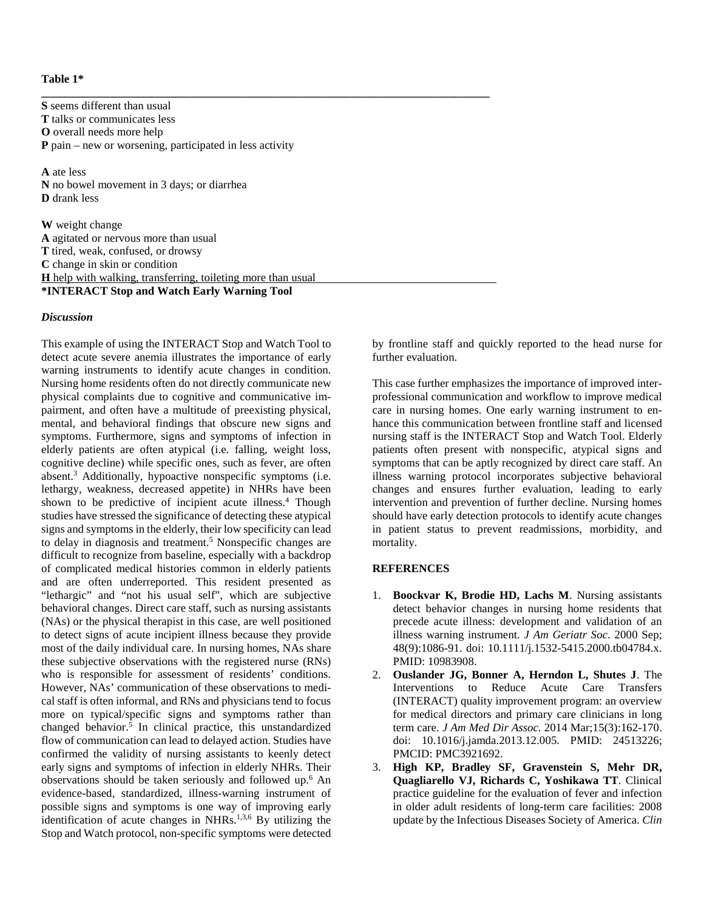#### **Table 1\***

**S** seems different than usual **T** talks or communicates less **O** overall needs more help **P** pain – new or worsening, participated in less activity

**\_\_\_\_\_\_\_\_\_\_\_\_\_\_\_\_\_\_\_\_\_\_\_\_\_\_\_\_\_\_\_\_\_\_\_\_\_\_\_\_\_\_\_\_\_\_\_\_\_\_\_\_\_\_\_\_\_\_\_\_\_\_\_\_\_\_\_\_\_\_\_\_\_\_\_\_\_\_**

**A** ate less **N** no bowel movement in 3 days; or diarrhea **D** drank less

**W** weight change **A** agitated or nervous more than usual **T** tired, weak, confused, or drowsy **C** change in skin or condition **H** help with walking, transferring, toileting more than usual **\*INTERACT Stop and Watch Early Warning Tool**

#### *Discussion*

This example of using the INTERACT Stop and Watch Tool to detect acute severe anemia illustrates the importance of early warning instruments to identify acute changes in condition. Nursing home residents often do not directly communicate new physical complaints due to cognitive and communicative impairment, and often have a multitude of preexisting physical, mental, and behavioral findings that obscure new signs and symptoms. Furthermore, signs and symptoms of infection in elderly patients are often atypical (i.e. falling, weight loss, cognitive decline) while specific ones, such as fever, are often absent. <sup>3</sup> Additionally, hypoactive nonspecific symptoms (i.e. lethargy, weakness, decreased appetite) in NHRs have been shown to be predictive of incipient acute illness. <sup>4</sup> Though studies have stressed the significance of detecting these atypical signs and symptoms in the elderly, their low specificity can lead to delay in diagnosis and treatment. <sup>5</sup> Nonspecific changes are difficult to recognize from baseline, especially with a backdrop of complicated medical histories common in elderly patients and are often underreported. This resident presented as "lethargic" and "not his usual self", which are subjective behavioral changes. Direct care staff, such as nursing assistants (NAs) or the physical therapist in this case, are well positioned to detect signs of acute incipient illness because they provide most of the daily individual care. In nursing homes, NAs share these subjective observations with the registered nurse (RNs) who is responsible for assessment of residents' conditions. However, NAs' communication of these observations to medical staff is often informal, and RNs and physicians tend to focus more on typical/specific signs and symptoms rather than changed behavior. <sup>5</sup> In clinical practice, this unstandardized flow of communication can lead to delayed action. Studies have confirmed the validity of nursing assistants to keenly detect early signs and symptoms of infection in elderly NHRs. Their observations should be taken seriously and followed up. <sup>6</sup> An evidence-based, standardized, illness-warning instrument of possible signs and symptoms is one way of improving early identification of acute changes in NHRs.<sup>1,3,6</sup> By utilizing the Stop and Watch protocol, non-specific symptoms were detected

by frontline staff and quickly reported to the head nurse for further evaluation.

This case further emphasizes the importance of improved interprofessional communication and workflow to improve medical care in nursing homes. One early warning instrument to enhance this communication between frontline staff and licensed nursing staff is the INTERACT Stop and Watch Tool. Elderly patients often present with nonspecific, atypical signs and symptoms that can be aptly recognized by direct care staff. An illness warning protocol incorporates subjective behavioral changes and ensures further evaluation, leading to early intervention and prevention of further decline. Nursing homes should have early detection protocols to identify acute changes in patient status to prevent readmissions, morbidity, and mortality.

## **REFERENCES**

- 1. **Boockvar K, Brodie HD, Lachs M**. Nursing assistants detect behavior changes in nursing home residents that precede acute illness: development and validation of an illness warning instrument. *J Am Geriatr Soc*. 2000 Sep; 48(9):1086-91. doi: 10.1111/j.1532-5415.2000.tb04784.x. PMID: 10983908.
- 2. **Ouslander JG, Bonner A, Herndon L, Shutes J**. The Interventions to Reduce Acute Care Transfers (INTERACT) quality improvement program: an overview for medical directors and primary care clinicians in long term care. *J Am Med Dir Assoc*. 2014 Mar;15(3):162-170. doi: 10.1016/j.jamda.2013.12.005. PMID: 24513226; PMCID: PMC3921692.
- 3. **High KP, Bradley SF, Gravenstein S, Mehr DR, Quagliarello VJ, Richards C, Yoshikawa TT**. Clinical practice guideline for the evaluation of fever and infection in older adult residents of long-term care facilities: 2008 update by the Infectious Diseases Society of America. *Clin*